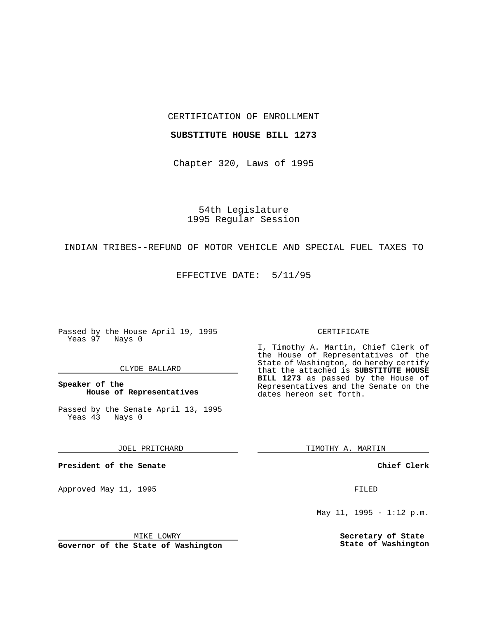CERTIFICATION OF ENROLLMENT

## **SUBSTITUTE HOUSE BILL 1273**

Chapter 320, Laws of 1995

54th Legislature 1995 Regular Session

## INDIAN TRIBES--REFUND OF MOTOR VEHICLE AND SPECIAL FUEL TAXES TO

EFFECTIVE DATE: 5/11/95

Passed by the House April 19, 1995 Yeas 97 Nays 0

### CLYDE BALLARD

**Speaker of the House of Representatives**

Passed by the Senate April 13, 1995<br>Yeas 43 Nays 0 Yeas 43

JOEL PRITCHARD

**President of the Senate**

Approved May 11, 1995 FILED

MIKE LOWRY

**Governor of the State of Washington**

#### CERTIFICATE

I, Timothy A. Martin, Chief Clerk of the House of Representatives of the State of Washington, do hereby certify that the attached is **SUBSTITUTE HOUSE BILL 1273** as passed by the House of Representatives and the Senate on the dates hereon set forth.

TIMOTHY A. MARTIN

**Chief Clerk**

May 11, 1995 - 1:12 p.m.

**Secretary of State State of Washington**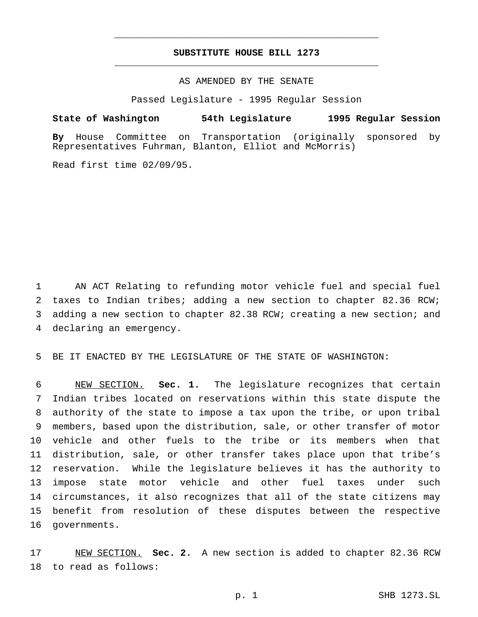# **SUBSTITUTE HOUSE BILL 1273** \_\_\_\_\_\_\_\_\_\_\_\_\_\_\_\_\_\_\_\_\_\_\_\_\_\_\_\_\_\_\_\_\_\_\_\_\_\_\_\_\_\_\_\_\_\_\_

\_\_\_\_\_\_\_\_\_\_\_\_\_\_\_\_\_\_\_\_\_\_\_\_\_\_\_\_\_\_\_\_\_\_\_\_\_\_\_\_\_\_\_\_\_\_\_

# AS AMENDED BY THE SENATE

Passed Legislature - 1995 Regular Session

## **State of Washington 54th Legislature 1995 Regular Session**

**By** House Committee on Transportation (originally sponsored by Representatives Fuhrman, Blanton, Elliot and McMorris)

Read first time 02/09/95.

 AN ACT Relating to refunding motor vehicle fuel and special fuel taxes to Indian tribes; adding a new section to chapter 82.36 RCW; adding a new section to chapter 82.38 RCW; creating a new section; and declaring an emergency.

BE IT ENACTED BY THE LEGISLATURE OF THE STATE OF WASHINGTON:

 NEW SECTION. **Sec. 1.** The legislature recognizes that certain Indian tribes located on reservations within this state dispute the authority of the state to impose a tax upon the tribe, or upon tribal members, based upon the distribution, sale, or other transfer of motor vehicle and other fuels to the tribe or its members when that distribution, sale, or other transfer takes place upon that tribe's reservation. While the legislature believes it has the authority to impose state motor vehicle and other fuel taxes under such circumstances, it also recognizes that all of the state citizens may benefit from resolution of these disputes between the respective governments.

 NEW SECTION. **Sec. 2.** A new section is added to chapter 82.36 RCW to read as follows: